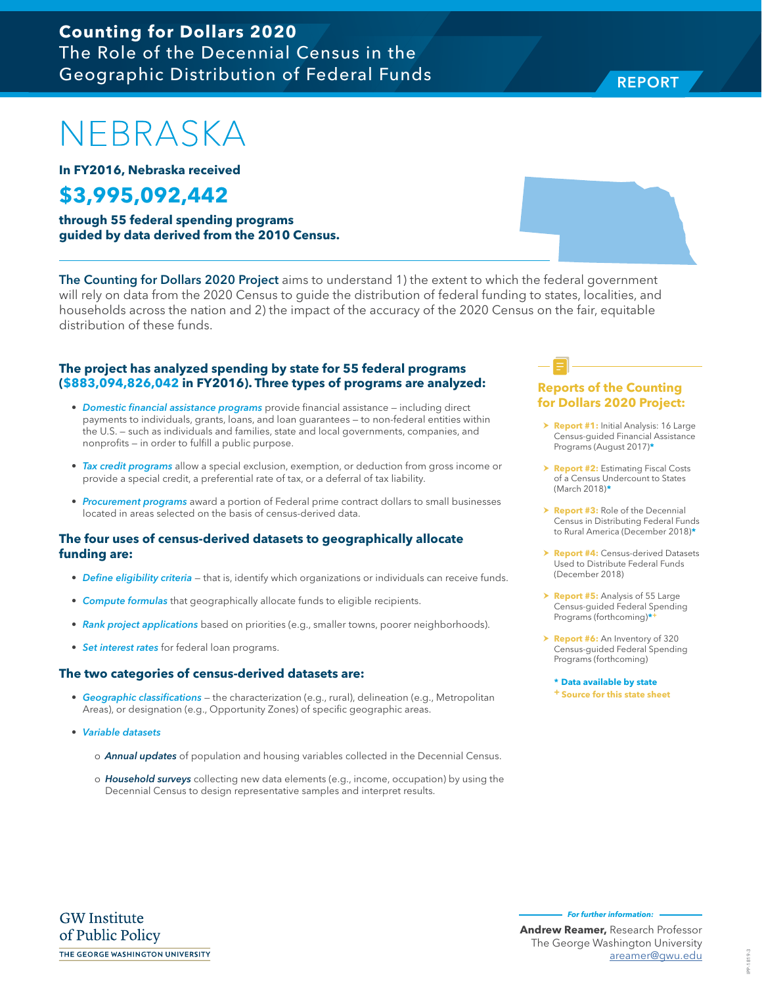**REPORT** REPORT

NEBRASKA

**In FY2016, Nebraska received**

## **\$3,995,092,442**

**through 55 federal spending programs guided by data derived from the 2010 Census.**

The Counting for Dollars 2020 Project aims to understand 1) the extent to which the federal government will rely on data from the 2020 Census to guide the distribution of federal funding to states, localities, and households across the nation and 2) the impact of the accuracy of the 2020 Census on the fair, equitable distribution of these funds.

### **The project has analyzed spending by state for 55 federal programs (\$883,094,826,042 in FY2016). Three types of programs are analyzed:**

- Domestic financial assistance programs provide financial assistance including direct payments to individuals, grants, loans, and loan guarantees — to non-federal entities within the U.S. — such as individuals and families, state and local governments, companies, and nonprofits — in order to fulfill a public purpose.
- Tax credit programs allow a special exclusion, exemption, or deduction from gross income or provide a special credit, a preferential rate of tax, or a deferral of tax liability.
- Procurement programs award a portion of Federal prime contract dollars to small businesses located in areas selected on the basis of census-derived data.

#### **The four uses of census-derived datasets to geographically allocate funding are:**

- Define eligibility criteria that is, identify which organizations or individuals can receive funds.
- Compute formulas that geographically allocate funds to eligible recipients.
- Rank project applications based on priorities (e.g., smaller towns, poorer neighborhoods).
- Set interest rates for federal loan programs.

#### **The two categories of census-derived datasets are:**

- Geographic classifications the characterization (e.g., rural), delineation (e.g., Metropolitan Areas), or designation (e.g., Opportunity Zones) of specific geographic areas.
- Variable datasets
	- o **Annual updates** of population and housing variables collected in the Decennial Census.
	- o Household surveys collecting new data elements (e.g., income, occupation) by using the Decennial Census to design representative samples and interpret results.

## **Reports of the Counting for Dollars 2020 Project:**

- > **Report #1:** Initial Analysis: 16 Large Census-guided Financial Assistance Programs (August 2017)**\***
- **h Report #2: Estimating Fiscal Costs** of a Census Undercount to States (March 2018)**\***
- **Report #3:** Role of the Decennial Census in Distributing Federal Funds to Rural America (December 2018)**\***
- **Report #4: Census-derived Datasets** Used to Distribute Federal Funds (December 2018)
- > **Report #5:** Analysis of 55 Large Census-guided Federal Spending Programs (forthcoming)**\*+**
- h **Report #6:** An Inventory of 320 Census-guided Federal Spending Programs (forthcoming)

**\* Data available by state + Source for this state sheet**

**GW** Institute of Public Policy THE GEORGE WASHINGTON UNIVERSITY **For further information:**